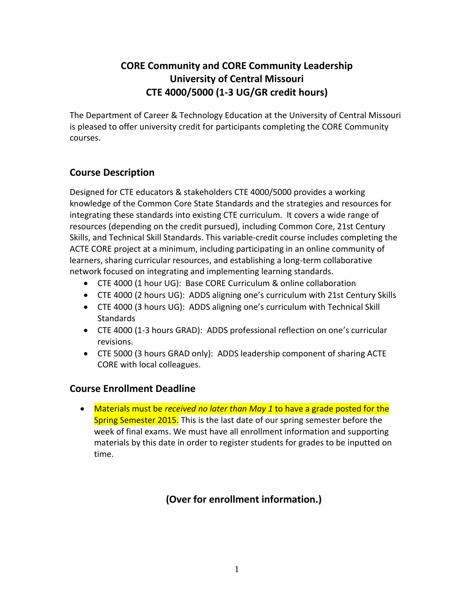# **CORE Community and CORE Community Leadership University of Central Missouri CTE 4000/5000 (1-3 UG/GR credit hours)**

The Department of Career & Technology Education at the University of Central Missouri is pleased to offer university credit for participants completing the CORE Community courses.

### **Course Description**

Designed for CTE educators & stakeholders CTE 4000/5000 provides a working knowledge of the Common Core State Standards and the strategies and resources for integrating these standards into existing CTE curriculum. It covers a wide range of resources (depending on the credit pursued), including Common Core, 21st Century Skills, and Technical Skill Standards. This variable-credit course includes completing the ACTE CORE project at a minimum, including participating in an online community of learners, sharing curricular resources, and establishing a long-term collaborative network focused on integrating and implementing learning standards.

- CTE 4000 (1 hour UG): Base CORE Curriculum & online collaboration
- CTE 4000 (2 hours UG): ADDS aligning one's curriculum with 21st Century Skills
- CTE 4000 (3 hours UG): ADDS aligning one's curriculum with Technical Skill **Standards**
- CTE 4000 (1-3 hours GRAD): ADDS professional reflection on one's curricular revisions.
- CTE 5000 (3 hours GRAD only): ADDS leadership component of sharing ACTE CORE with local colleagues.

#### **Course Enrollment Deadline**

 Materials must be *received no later than May 1* to have a grade posted for the Spring Semester 2015. This is the last date of our spring semester before the week of final exams. We must have all enrollment information and supporting materials by this date in order to register students for grades to be inputted on time.

## **(Over for enrollment information.)**